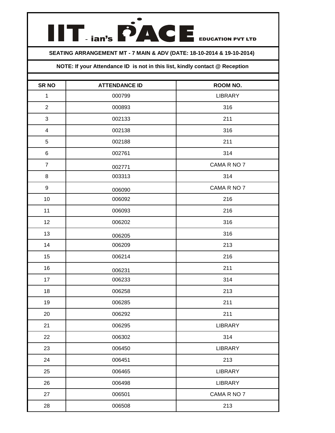## **TENGERACE**

## **SEATING ARRANGEMENT MT - 7 MAIN & ADV (DATE: 18-10-2014 & 19-10-2014)**

## **NOTE: If your Attendance ID is not in this list, kindly contact @ Reception**

| <b>SR NO</b>     | <b>ATTENDANCE ID</b> | ROOM NO.       |
|------------------|----------------------|----------------|
| $\mathbf{1}$     | 000799               | <b>LIBRARY</b> |
| $\overline{2}$   | 000893               | 316            |
| 3                | 002133               | 211            |
| 4                | 002138               | 316            |
| $\mathbf 5$      | 002188               | 211            |
| 6                | 002761               | 314            |
| $\overline{7}$   | 002771               | CAMA R NO 7    |
| 8                | 003313               | 314            |
| $\boldsymbol{9}$ | 006090               | CAMA R NO 7    |
| 10               | 006092               | 216            |
| 11               | 006093               | 216            |
| 12               | 006202               | 316            |
| 13               | 006205               | 316            |
| 14               | 006209               | 213            |
| 15               | 006214               | 216            |
| 16               | 006231               | 211            |
| 17               | 006233               | 314            |
| 18               | 006258               | 213            |
| 19               | 006285               | 211            |
| 20               | 006292               | 211            |
| 21               | 006295               | LIBRARY        |
| 22               | 006302               | 314            |
| 23               | 006450               | <b>LIBRARY</b> |
| 24               | 006451               | 213            |
| 25               | 006465               | LIBRARY        |
| 26               | 006498               | LIBRARY        |
| 27               | 006501               | CAMA R NO 7    |
| 28               | 006508               | 213            |
|                  |                      |                |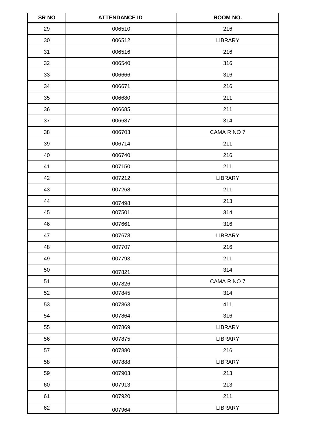| <b>SR NO</b> | <b>ATTENDANCE ID</b> | ROOM NO.       |
|--------------|----------------------|----------------|
| 29           | 006510               | 216            |
| 30           | 006512               | <b>LIBRARY</b> |
| 31           | 006516               | 216            |
| 32           | 006540               | 316            |
| 33           | 006666               | 316            |
| 34           | 006671               | 216            |
| 35           | 006680               | 211            |
| 36           | 006685               | 211            |
| 37           | 006687               | 314            |
| 38           | 006703               | CAMA R NO 7    |
| 39           | 006714               | 211            |
| 40           | 006740               | 216            |
| 41           | 007150               | 211            |
| 42           | 007212               | <b>LIBRARY</b> |
| 43           | 007268               | 211            |
| 44           | 007498               | 213            |
| 45           | 007501               | 314            |
| 46           | 007661               | 316            |
| 47           | 007678               | <b>LIBRARY</b> |
| 48           | 007707               | 216            |
| 49           | 007793               | 211            |
| 50           | 007821               | 314            |
| 51           | 007826               | CAMA R NO 7    |
| 52           | 007845               | 314            |
| 53           | 007863               | 411            |
| 54           | 007864               | 316            |
| 55           | 007869               | LIBRARY        |
| 56           | 007875               | <b>LIBRARY</b> |
| 57           | 007880               | 216            |
| 58           | 007888               | <b>LIBRARY</b> |
| 59           | 007903               | 213            |
| 60           | 007913               | 213            |
| 61           | 007920               | 211            |
| 62           | 007964               | LIBRARY        |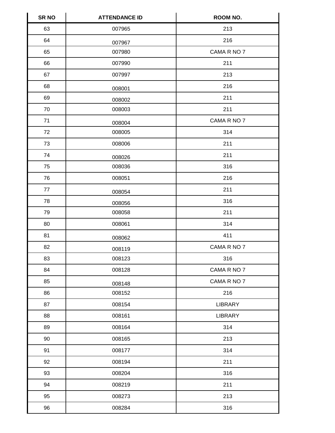| <b>SR NO</b> | <b>ATTENDANCE ID</b> | ROOM NO.       |
|--------------|----------------------|----------------|
| 63           | 007965               | 213            |
| 64           | 007967               | 216            |
| 65           | 007980               | CAMA R NO 7    |
| 66           | 007990               | 211            |
| 67           | 007997               | 213            |
| 68           | 008001               | 216            |
| 69           | 008002               | 211            |
| 70           | 008003               | 211            |
| 71           | 008004               | CAMA R NO 7    |
| 72           | 008005               | 314            |
| 73           | 008006               | 211            |
| 74           | 008026               | 211            |
| 75           | 008036               | 316            |
| 76           | 008051               | 216            |
| $77\,$       | 008054               | 211            |
| 78           | 008056               | 316            |
| 79           | 008058               | 211            |
| 80           | 008061               | 314            |
| 81           | 008062               | 411            |
| 82           | 008119               | CAMA R NO 7    |
| 83           | 008123               | 316            |
| 84           | 008128               | CAMA R NO 7    |
| 85           | 008148               | CAMA R NO 7    |
| 86           | 008152               | 216            |
| 87           | 008154               | <b>LIBRARY</b> |
| 88           | 008161               | <b>LIBRARY</b> |
| 89           | 008164               | 314            |
| 90           | 008165               | 213            |
| 91           | 008177               | 314            |
| 92           | 008194               | 211            |
| 93           | 008204               | 316            |
| 94           | 008219               | 211            |
| 95           | 008273               | 213            |
| 96           | 008284               | 316            |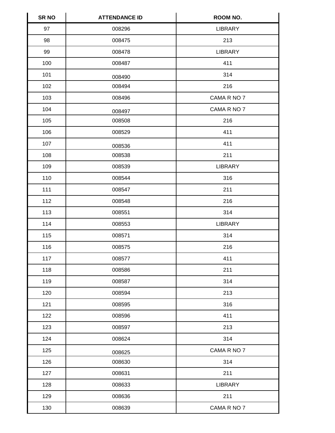| <b>SR NO</b> | <b>ATTENDANCE ID</b> | ROOM NO.       |
|--------------|----------------------|----------------|
| 97           | 008296               | <b>LIBRARY</b> |
| 98           | 008475               | 213            |
| 99           | 008478               | <b>LIBRARY</b> |
| 100          | 008487               | 411            |
| 101          | 008490               | 314            |
| 102          | 008494               | 216            |
| 103          | 008496               | CAMA R NO 7    |
| 104          | 008497               | CAMA R NO 7    |
| 105          | 008508               | 216            |
| 106          | 008529               | 411            |
| 107          | 008536               | 411            |
| 108          | 008538               | 211            |
| 109          | 008539               | <b>LIBRARY</b> |
| 110          | 008544               | 316            |
| 111          | 008547               | 211            |
| 112          | 008548               | 216            |
| 113          | 008551               | 314            |
| 114          | 008553               | <b>LIBRARY</b> |
| 115          | 008571               | 314            |
| 116          | 008575               | 216            |
| 117          | 008577               | 411            |
| 118          | 008586               | 211            |
| 119          | 008587               | 314            |
| 120          | 008594               | 213            |
| 121          | 008595               | 316            |
| 122          | 008596               | 411            |
| 123          | 008597               | 213            |
| 124          | 008624               | 314            |
| 125          | 008625               | CAMA R NO 7    |
| 126          | 008630               | 314            |
| 127          | 008631               | 211            |
| 128          | 008633               | <b>LIBRARY</b> |
| 129          | 008636               | 211            |
| 130          | 008639               | CAMA R NO 7    |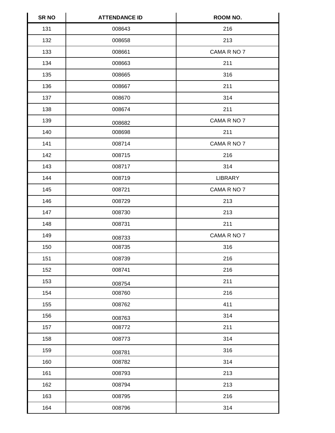| <b>SR NO</b> | <b>ATTENDANCE ID</b> | ROOM NO.       |
|--------------|----------------------|----------------|
| 131          | 008643               | 216            |
| 132          | 008658               | 213            |
| 133          | 008661               | CAMA R NO 7    |
| 134          | 008663               | 211            |
| 135          | 008665               | 316            |
| 136          | 008667               | 211            |
| 137          | 008670               | 314            |
| 138          | 008674               | 211            |
| 139          | 008682               | CAMA R NO 7    |
| 140          | 008698               | 211            |
| 141          | 008714               | CAMA R NO 7    |
| 142          | 008715               | 216            |
| 143          | 008717               | 314            |
| 144          | 008719               | <b>LIBRARY</b> |
| 145          | 008721               | CAMA R NO 7    |
| 146          | 008729               | 213            |
| 147          | 008730               | 213            |
| 148          | 008731               | 211            |
| 149          | 008733               | CAMA R NO 7    |
| 150          | 008735               | 316            |
| 151          | 008739               | 216            |
| 152          | 008741               | 216            |
| 153          | 008754               | 211            |
| 154          | 008760               | 216            |
| 155          | 008762               | 411            |
| 156          | 008763               | 314            |
| 157          | 008772               | 211            |
| 158          | 008773               | 314            |
| 159          | 008781               | 316            |
| 160          | 008782               | 314            |
| 161          | 008793               | 213            |
| 162          | 008794               | 213            |
| 163          | 008795               | 216            |
| 164          | 008796               | 314            |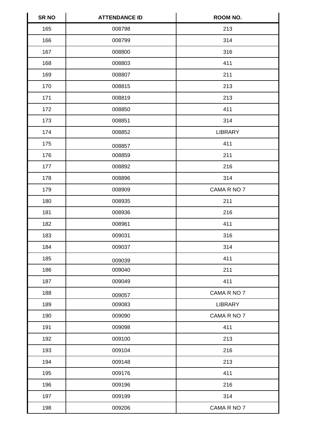| <b>SR NO</b> | <b>ATTENDANCE ID</b> | ROOM NO.       |
|--------------|----------------------|----------------|
| 165          | 008798               | 213            |
| 166          | 008799               | 314            |
| 167          | 008800               | 316            |
| 168          | 008803               | 411            |
| 169          | 008807               | 211            |
| 170          | 008815               | 213            |
| 171          | 008819               | 213            |
| 172          | 008850               | 411            |
| 173          | 008851               | 314            |
| 174          | 008852               | <b>LIBRARY</b> |
| 175          | 008857               | 411            |
| 176          | 008859               | 211            |
| 177          | 008892               | 216            |
| 178          | 008896               | 314            |
| 179          | 008909               | CAMA R NO 7    |
| 180          | 008935               | 211            |
| 181          | 008936               | 216            |
| 182          | 008961               | 411            |
| 183          | 009031               | 316            |
| 184          | 009037               | 314            |
| 185          | 009039               | 411            |
| 186          | 009040               | 211            |
| 187          | 009049               | 411            |
| 188          | 009057               | CAMA R NO 7    |
| 189          | 009083               | LIBRARY        |
| 190          | 009090               | CAMA R NO 7    |
| 191          | 009098               | 411            |
| 192          | 009100               | 213            |
| 193          | 009104               | 216            |
| 194          | 009148               | 213            |
| 195          | 009176               | 411            |
| 196          | 009196               | 216            |
| 197          | 009199               | 314            |
| 198          | 009206               | CAMA R NO 7    |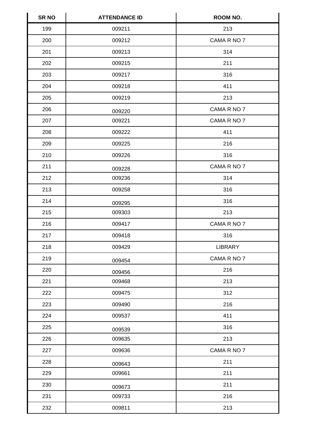| <b>SR NO</b> | <b>ATTENDANCE ID</b> | ROOM NO.       |
|--------------|----------------------|----------------|
| 199          | 009211               | 213            |
| 200          | 009212               | CAMA R NO 7    |
| 201          | 009213               | 314            |
| 202          | 009215               | 211            |
| 203          | 009217               | 316            |
| 204          | 009218               | 411            |
| 205          | 009219               | 213            |
| 206          | 009220               | CAMA R NO 7    |
| 207          | 009221               | CAMA R NO 7    |
| 208          | 009222               | 411            |
| 209          | 009225               | 216            |
| 210          | 009226               | 316            |
| 211          | 009228               | CAMA R NO 7    |
| 212          | 009236               | 314            |
| 213          | 009258               | 316            |
| 214          | 009295               | 316            |
| 215          | 009303               | 213            |
| 216          | 009417               | CAMA R NO 7    |
| 217          | 009418               | 316            |
| 218          | 009429               | <b>LIBRARY</b> |
| 219          | 009454               | CAMA R NO 7    |
| 220          | 009456               | 216            |
| 221          | 009468               | 213            |
| 222          | 009475               | 312            |
| 223          | 009490               | 216            |
| 224          | 009537               | 411            |
| 225          | 009539               | 316            |
| 226          | 009635               | 213            |
| 227          | 009636               | CAMA R NO 7    |
| 228          | 009643               | 211            |
| 229          | 009661               | 211            |
| 230          | 009673               | 211            |
| 231          | 009733               | 216            |
| 232          | 009811               | 213            |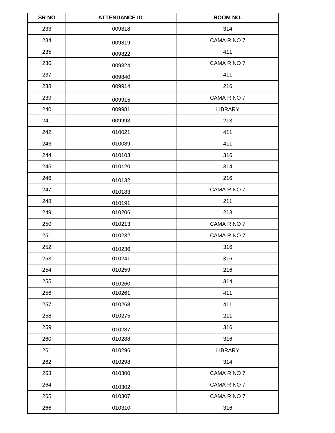| <b>SR NO</b> | <b>ATTENDANCE ID</b> | <b>ROOM NO.</b> |
|--------------|----------------------|-----------------|
| 233          | 009818               | 314             |
| 234          | 009819               | CAMA R NO 7     |
| 235          | 009822               | 411             |
| 236          | 009824               | CAMA R NO 7     |
| 237          | 009840               | 411             |
| 238          | 009914               | 216             |
| 239          | 009915               | CAMA R NO 7     |
| 240          | 009981               | <b>LIBRARY</b>  |
| 241          | 009993               | 213             |
| 242          | 010021               | 411             |
| 243          | 010089               | 411             |
| 244          | 010103               | 316             |
| 245          | 010120               | 314             |
| 246          | 010132               | 216             |
| 247          | 010183               | CAMA R NO 7     |
| 248          | 010191               | 211             |
| 249          | 010206               | 213             |
| 250          | 010213               | CAMA R NO 7     |
| 251          | 010232               | CAMA R NO 7     |
| 252          | 010236               | 316             |
| 253          | 010241               | 316             |
| 254          | 010259               | 216             |
| 255          | 010260               | 314             |
| 256          | 010261               | 411             |
| 257          | 010268               | 411             |
| 258          | 010275               | 211             |
| 259          | 010287               | 316             |
| 260          | 010288               | 316             |
| 261          | 010296               | <b>LIBRARY</b>  |
| 262          | 010298               | 314             |
| 263          | 010300               | CAMA R NO 7     |
| 264          | 010302               | CAMA R NO 7     |
| 265          | 010307               | CAMA R NO 7     |
| 266          | 010310               | 316             |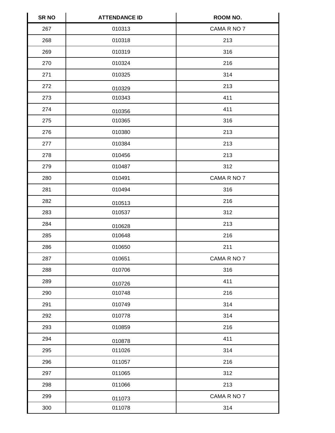| <b>SR NO</b> | <b>ATTENDANCE ID</b> | ROOM NO.    |
|--------------|----------------------|-------------|
| 267          | 010313               | CAMA R NO 7 |
| 268          | 010318               | 213         |
| 269          | 010319               | 316         |
| 270          | 010324               | 216         |
| 271          | 010325               | 314         |
| 272          | 010329               | 213         |
| 273          | 010343               | 411         |
| 274          | 010356               | 411         |
| 275          | 010365               | 316         |
| 276          | 010380               | 213         |
| 277          | 010384               | 213         |
| 278          | 010456               | 213         |
| 279          | 010487               | 312         |
| 280          | 010491               | CAMA R NO 7 |
| 281          | 010494               | 316         |
| 282          | 010513               | 216         |
| 283          | 010537               | 312         |
| 284          | 010628               | 213         |
| 285          | 010648               | 216         |
| 286          | 010650               | 211         |
| 287          | 010651               | CAMA R NO 7 |
| 288          | 010706               | 316         |
| 289          | 010726               | 411         |
| 290          | 010748               | 216         |
| 291          | 010749               | 314         |
| 292          | 010778               | 314         |
| 293          | 010859               | 216         |
| 294          | 010878               | 411         |
| 295          | 011026               | 314         |
| 296          | 011057               | 216         |
| 297          | 011065               | 312         |
| 298          | 011066               | 213         |
| 299          | 011073               | CAMA R NO 7 |
| 300          | 011078               | 314         |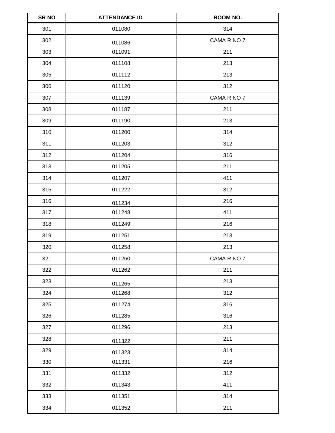| <b>SR NO</b> | <b>ATTENDANCE ID</b> | ROOM NO.    |
|--------------|----------------------|-------------|
| 301          | 011080               | 314         |
| 302          | 011086               | CAMA R NO 7 |
| 303          | 011091               | 211         |
| 304          | 011108               | 213         |
| 305          | 011112               | 213         |
| 306          | 011120               | 312         |
| 307          | 011139               | CAMA R NO 7 |
| 308          | 011187               | 211         |
| 309          | 011190               | 213         |
| 310          | 011200               | 314         |
| 311          | 011203               | 312         |
| 312          | 011204               | 316         |
| 313          | 011205               | 211         |
| 314          | 011207               | 411         |
| 315          | 011222               | 312         |
| 316          | 011234               | 216         |
| 317          | 011248               | 411         |
| 318          | 011249               | 216         |
| 319          | 011251               | 213         |
| 320          | 011258               | 213         |
| 321          | 011260               | CAMA R NO 7 |
| 322          | 011262               | 211         |
| 323          | 011265               | 213         |
| 324          | 011268               | 312         |
| 325          | 011274               | 316         |
| 326          | 011285               | 316         |
| 327          | 011296               | 213         |
| 328          | 011322               | 211         |
| 329          | 011323               | 314         |
| 330          | 011331               | 216         |
| 331          | 011332               | 312         |
| 332          | 011343               | 411         |
| 333          | 011351               | 314         |
| 334          | 011352               | 211         |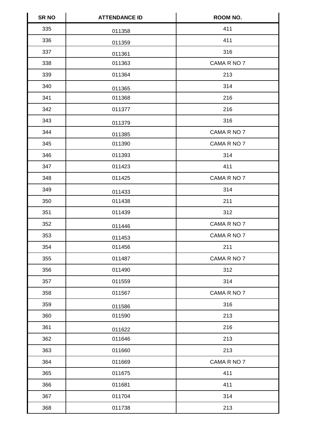| <b>SR NO</b> | <b>ATTENDANCE ID</b> | ROOM NO.    |
|--------------|----------------------|-------------|
| 335          | 011358               | 411         |
| 336          | 011359               | 411         |
| 337          | 011361               | 316         |
| 338          | 011363               | CAMA R NO 7 |
| 339          | 011364               | 213         |
| 340          | 011365               | 314         |
| 341          | 011368               | 216         |
| 342          | 011377               | 216         |
| 343          | 011379               | 316         |
| 344          | 011385               | CAMA R NO 7 |
| 345          | 011390               | CAMA R NO 7 |
| 346          | 011393               | 314         |
| 347          | 011423               | 411         |
| 348          | 011425               | CAMA R NO 7 |
| 349          | 011433               | 314         |
| 350          | 011438               | 211         |
| 351          | 011439               | 312         |
| 352          | 011446               | CAMA R NO 7 |
| 353          | 011453               | CAMA R NO 7 |
| 354          | 011456               | 211         |
| 355          | 011487               | CAMA R NO 7 |
| 356          | 011490               | 312         |
| 357          | 011559               | 314         |
| 358          | 011567               | CAMA R NO 7 |
| 359          | 011586               | 316         |
| 360          | 011590               | 213         |
| 361          | 011622               | 216         |
| 362          | 011646               | 213         |
| 363          | 011660               | 213         |
| 364          | 011669               | CAMA R NO 7 |
| 365          | 011675               | 411         |
| 366          | 011681               | 411         |
| 367          | 011704               | 314         |
| 368          | 011738               | 213         |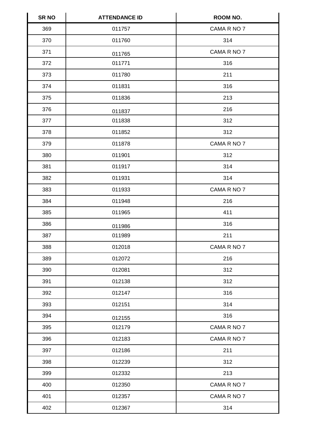| SR <sub>NO</sub> | <b>ATTENDANCE ID</b> | <b>ROOM NO.</b> |
|------------------|----------------------|-----------------|
| 369              | 011757               | CAMA R NO 7     |
| 370              | 011760               | 314             |
| 371              | 011765               | CAMA R NO 7     |
| 372              | 011771               | 316             |
| 373              | 011780               | 211             |
| 374              | 011831               | 316             |
| 375              | 011836               | 213             |
| 376              | 011837               | 216             |
| 377              | 011838               | 312             |
| 378              | 011852               | 312             |
| 379              | 011878               | CAMA R NO 7     |
| 380              | 011901               | 312             |
| 381              | 011917               | 314             |
| 382              | 011931               | 314             |
| 383              | 011933               | CAMA R NO 7     |
| 384              | 011948               | 216             |
| 385              | 011965               | 411             |
| 386              | 011986               | 316             |
| 387              | 011989               | 211             |
| 388              | 012018               | CAMA R NO 7     |
| 389              | 012072               | 216             |
| 390              | 012081               | 312             |
| 391              | 012138               | 312             |
| 392              | 012147               | 316             |
| 393              | 012151               | 314             |
| 394              | 012155               | 316             |
| 395              | 012179               | CAMA R NO 7     |
| 396              | 012183               | CAMA R NO 7     |
| 397              | 012186               | 211             |
| 398              | 012239               | 312             |
| 399              | 012332               | 213             |
| 400              | 012350               | CAMA R NO 7     |
| 401              | 012357               | CAMA R NO 7     |
| 402              | 012367               | 314             |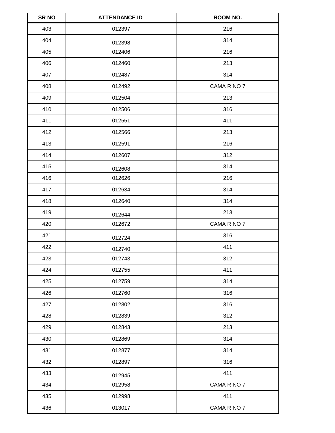| <b>SR NO</b> | <b>ATTENDANCE ID</b> | <b>ROOM NO.</b> |
|--------------|----------------------|-----------------|
| 403          | 012397               | 216             |
| 404          | 012398               | 314             |
| 405          | 012406               | 216             |
| 406          | 012460               | 213             |
| 407          | 012487               | 314             |
| 408          | 012492               | CAMA R NO 7     |
| 409          | 012504               | 213             |
| 410          | 012506               | 316             |
| 411          | 012551               | 411             |
| 412          | 012566               | 213             |
| 413          | 012591               | 216             |
| 414          | 012607               | 312             |
| 415          | 012608               | 314             |
| 416          | 012626               | 216             |
| 417          | 012634               | 314             |
| 418          | 012640               | 314             |
| 419          | 012644               | 213             |
| 420          | 012672               | CAMA R NO 7     |
| 421          | 012724               | 316             |
| 422          | 012740               | 411             |
| 423          | 012743               | 312             |
| 424          | 012755               | 411             |
| 425          | 012759               | 314             |
| 426          | 012760               | 316             |
| 427          | 012802               | 316             |
| 428          | 012839               | 312             |
| 429          | 012843               | 213             |
| 430          | 012869               | 314             |
| 431          | 012877               | 314             |
| 432          | 012897               | 316             |
| 433          | 012945               | 411             |
| 434          | 012958               | CAMA R NO 7     |
| 435          | 012998               | 411             |
| 436          | 013017               | CAMA R NO 7     |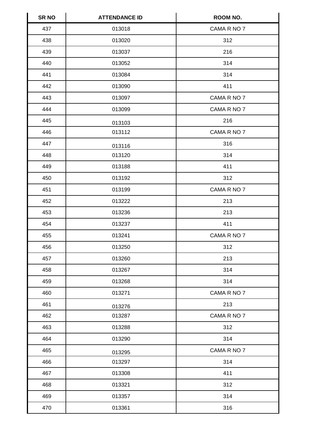| SR <sub>NO</sub> | <b>ATTENDANCE ID</b> | <b>ROOM NO.</b> |
|------------------|----------------------|-----------------|
| 437              | 013018               | CAMA R NO 7     |
| 438              | 013020               | 312             |
| 439              | 013037               | 216             |
| 440              | 013052               | 314             |
| 441              | 013084               | 314             |
| 442              | 013090               | 411             |
| 443              | 013097               | CAMA R NO 7     |
| 444              | 013099               | CAMA R NO 7     |
| 445              | 013103               | 216             |
| 446              | 013112               | CAMA R NO 7     |
| 447              | 013116               | 316             |
| 448              | 013120               | 314             |
| 449              | 013188               | 411             |
| 450              | 013192               | 312             |
| 451              | 013199               | CAMA R NO 7     |
| 452              | 013222               | 213             |
| 453              | 013236               | 213             |
| 454              | 013237               | 411             |
| 455              | 013241               | CAMA R NO 7     |
| 456              | 013250               | 312             |
| 457              | 013260               | 213             |
| 458              | 013267               | 314             |
| 459              | 013268               | 314             |
| 460              | 013271               | CAMA R NO 7     |
| 461              | 013276               | 213             |
| 462              | 013287               | CAMA R NO 7     |
| 463              | 013288               | 312             |
| 464              | 013290               | 314             |
| 465              | 013295               | CAMA R NO 7     |
| 466              | 013297               | 314             |
| 467              | 013308               | 411             |
| 468              | 013321               | 312             |
| 469              | 013357               | 314             |
| 470              | 013361               | 316             |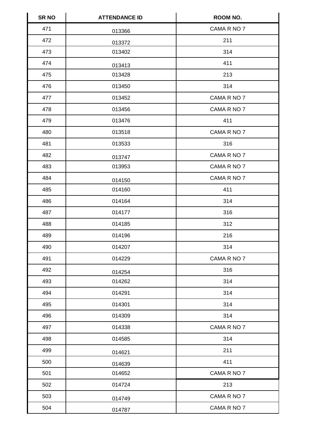| <b>SR NO</b> | <b>ATTENDANCE ID</b> | ROOM NO.    |
|--------------|----------------------|-------------|
| 471          | 013366               | CAMA R NO 7 |
| 472          | 013372               | 211         |
| 473          | 013402               | 314         |
| 474          | 013413               | 411         |
| 475          | 013428               | 213         |
| 476          | 013450               | 314         |
| 477          | 013452               | CAMA R NO 7 |
| 478          | 013456               | CAMA R NO 7 |
| 479          | 013476               | 411         |
| 480          | 013518               | CAMA R NO 7 |
| 481          | 013533               | 316         |
| 482          | 013747               | CAMA R NO 7 |
| 483          | 013953               | CAMA R NO 7 |
| 484          | 014150               | CAMA R NO 7 |
| 485          | 014160               | 411         |
| 486          | 014164               | 314         |
| 487          | 014177               | 316         |
| 488          | 014185               | 312         |
| 489          | 014196               | 216         |
| 490          | 014207               | 314         |
| 491          | 014229               | CAMA R NO 7 |
| 492          | 014254               | 316         |
| 493          | 014262               | 314         |
| 494          | 014291               | 314         |
| 495          | 014301               | 314         |
| 496          | 014309               | 314         |
| 497          | 014338               | CAMA R NO 7 |
| 498          | 014585               | 314         |
| 499          | 014621               | 211         |
| 500          | 014639               | 411         |
| 501          | 014652               | CAMA R NO 7 |
| 502          | 014724               | 213         |
| 503          | 014749               | CAMA R NO 7 |
| 504          | 014787               | CAMA R NO 7 |